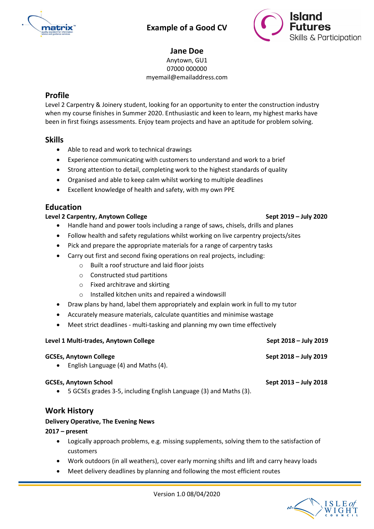

# Example of a Good CV



# Jane Doe

Anytown, GU1 07000 000000

myemail@emailaddress.com

# Profile

Level 2 Carpentry & Joinery student, looking for an opportunity to enter the construction industry when my course finishes in Summer 2020. Enthusiastic and keen to learn, my highest marks have been in first fixings assessments. Enjoy team projects and have an aptitude for problem solving.

## Skills

- Able to read and work to technical drawings
- Experience communicating with customers to understand and work to a brief
- Strong attention to detail, completing work to the highest standards of quality
- Organised and able to keep calm whilst working to multiple deadlines
- Excellent knowledge of health and safety, with my own PPE

## Education

#### Level 2 Carpentry, Anytown College Sept 2019 – July 2020

- Handle hand and power tools including a range of saws, chisels, drills and planes
- Follow health and safety regulations whilst working on live carpentry projects/sites
- Pick and prepare the appropriate materials for a range of carpentry tasks
- Carry out first and second fixing operations on real projects, including:
	- o Built a roof structure and laid floor joists
	- o Constructed stud partitions
	- o Fixed architrave and skirting
	- o Installed kitchen units and repaired a windowsill
- Draw plans by hand, label them appropriately and explain work in full to my tutor
- Accurately measure materials, calculate quantities and minimise wastage
- Meet strict deadlines multi-tasking and planning my own time effectively

| Level 1 Multi-trades, Anytown College                                                                          | Sept 2018 – July 2019 |
|----------------------------------------------------------------------------------------------------------------|-----------------------|
| <b>GCSEs, Anytown College</b><br>• English Language $(4)$ and Maths $(4)$ .                                    | Sept 2018 – July 2019 |
| <b>GCSEs, Anytown School</b><br>5 GCSEs grades 3-5, including English Language (3) and Maths (3).<br>$\bullet$ | Sept 2013 – July 2018 |

## Work History

#### Delivery Operative, The Evening News

#### 2017 – present

- Logically approach problems, e.g. missing supplements, solving them to the satisfaction of customers
- Work outdoors (in all weathers), cover early morning shifts and lift and carry heavy loads
- Meet delivery deadlines by planning and following the most efficient routes